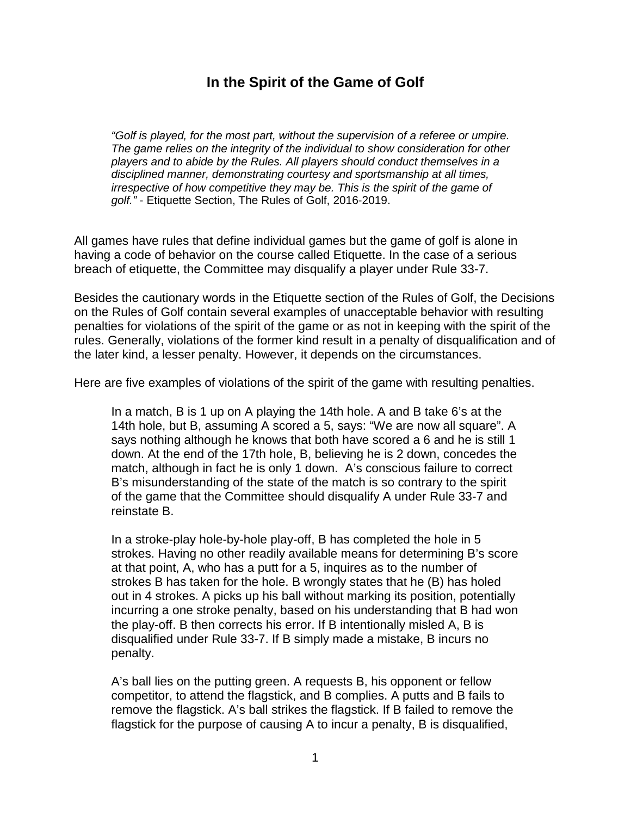## **In the Spirit of the Game of Golf**

*"Golf is played, for the most part, without the supervision of a referee or umpire. The game relies on the integrity of the individual to show consideration for other players and to abide by the Rules. All players should conduct themselves in a disciplined manner, demonstrating courtesy and sportsmanship at all times, irrespective of how competitive they may be. This is the spirit of the game of golf."* - Etiquette Section, The Rules of Golf, 2016-2019.

All games have rules that define individual games but the game of golf is alone in having a code of behavior on the course called Etiquette. In the case of a serious breach of etiquette, the Committee may disqualify a player under Rule 33-7.

Besides the cautionary words in the Etiquette section of the Rules of Golf, the Decisions on the Rules of Golf contain several examples of unacceptable behavior with resulting penalties for violations of the spirit of the game or as not in keeping with the spirit of the rules. Generally, violations of the former kind result in a penalty of disqualification and of the later kind, a lesser penalty. However, it depends on the circumstances.

Here are five examples of violations of the spirit of the game with resulting penalties.

In a match, B is 1 up on A playing the 14th hole. A and B take 6's at the 14th hole, but B, assuming A scored a 5, says: "We are now all square". A says nothing although he knows that both have scored a 6 and he is still 1 down. At the end of the 17th hole, B, believing he is 2 down, concedes the match, although in fact he is only 1 down. A's conscious failure to correct B's misunderstanding of the state of the match is so contrary to the spirit of the game that the Committee should disqualify A under Rule 33-7 and reinstate B.

In a stroke-play hole-by-hole play-off, B has completed the hole in 5 strokes. Having no other readily available means for determining B's score at that point, A, who has a putt for a 5, inquires as to the number of strokes B has taken for the hole. B wrongly states that he (B) has holed out in 4 strokes. A picks up his ball without marking its position, potentially incurring a one stroke penalty, based on his understanding that B had won the play-off. B then corrects his error. If B intentionally misled A, B is disqualified under Rule 33-7. If B simply made a mistake, B incurs no penalty.

A's ball lies on the putting green. A requests B, his opponent or fellow competitor, to attend the flagstick, and B complies. A putts and B fails to remove the flagstick. A's ball strikes the flagstick. If B failed to remove the flagstick for the purpose of causing A to incur a penalty, B is disqualified,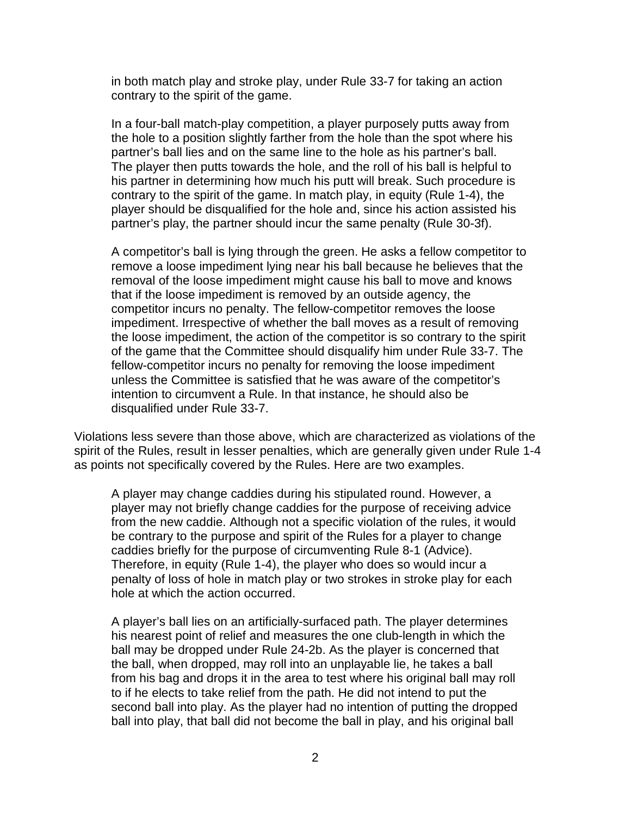in both match play and stroke play, under Rule 33-7 for taking an action contrary to the spirit of the game.

In a four-ball match-play competition, a player purposely putts away from the hole to a position slightly farther from the hole than the spot where his partner's ball lies and on the same line to the hole as his partner's ball. The player then putts towards the hole, and the roll of his ball is helpful to his partner in determining how much his putt will break. Such procedure is contrary to the spirit of the game. In match play, in equity (Rule 1-4), the player should be disqualified for the hole and, since his action assisted his partner's play, the partner should incur the same penalty (Rule 30-3f).

A competitor's ball is lying through the green. He asks a fellow competitor to remove a loose impediment lying near his ball because he believes that the removal of the loose impediment might cause his ball to move and knows that if the loose impediment is removed by an outside agency, the competitor incurs no penalty. The fellow-competitor removes the loose impediment. Irrespective of whether the ball moves as a result of removing the loose impediment, the action of the competitor is so contrary to the spirit of the game that the Committee should disqualify him under Rule 33-7. The fellow-competitor incurs no penalty for removing the loose impediment unless the Committee is satisfied that he was aware of the competitor's intention to circumvent a Rule. In that instance, he should also be disqualified under Rule 33-7.

Violations less severe than those above, which are characterized as violations of the spirit of the Rules, result in lesser penalties, which are generally given under Rule 1-4 as points not specifically covered by the Rules. Here are two examples.

A player may change caddies during his stipulated round. However, a player may not briefly change caddies for the purpose of receiving advice from the new caddie. Although not a specific violation of the rules, it would be contrary to the purpose and spirit of the Rules for a player to change caddies briefly for the purpose of circumventing Rule 8-1 (Advice). Therefore, in equity (Rule 1-4), the player who does so would incur a penalty of loss of hole in match play or two strokes in stroke play for each hole at which the action occurred.

A player's ball lies on an artificially-surfaced path. The player determines his nearest point of relief and measures the one club-length in which the ball may be dropped under Rule 24-2b. As the player is concerned that the ball, when dropped, may roll into an unplayable lie, he takes a ball from his bag and drops it in the area to test where his original ball may roll to if he elects to take relief from the path. He did not intend to put the second ball into play. As the player had no intention of putting the dropped ball into play, that ball did not become the ball in play, and his original ball